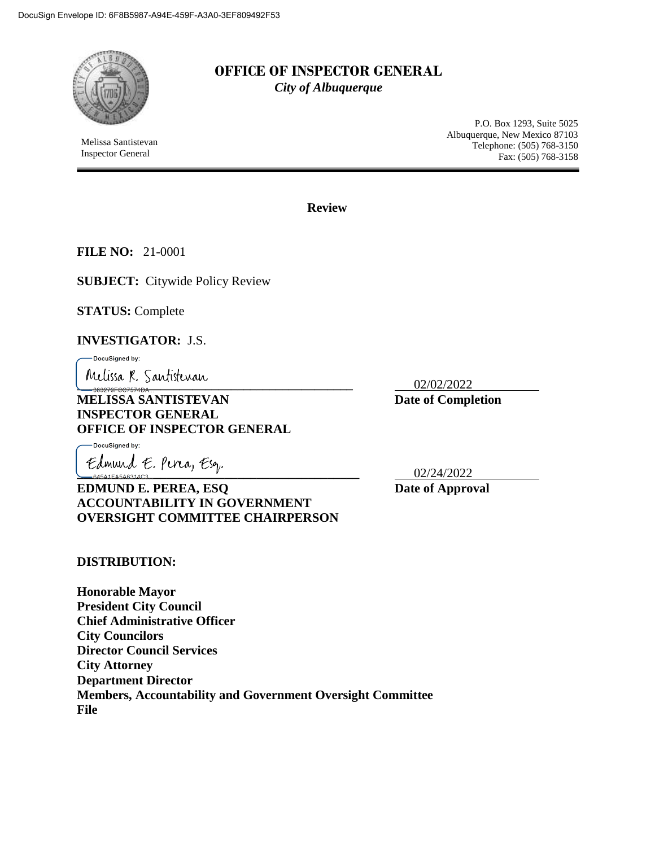

Melissa Santistevan Inspector General

# **OFFICE OF INSPECTOR GENERAL** *City of Albuquerque*

P.O. Box 1293, Suite 5025 Albuquerque, New Mexico 87103 Telephone: (505) 768-3150 Fax: (505) 768-3158

**Review**

**FILE NO:** 21-0001

**SUBJECT:** Citywide Policy Review

**STATUS:** Complete

**INVESTIGATOR:** J.S.

-DocuSigned by:

<u>Melissa</u> R. Santistevan<br>- 363270FCC7674DA

**MELISSA SANTISTEVAN** Date of Completion **INSPECTOR GENERAL OFFICE OF INSPECTOR GENERAL**

DocuSigned by:

Edmund E. Pira, Esq.<br><del>Casarcasassiacs</del> **EDMUND E. PEREA, ESQ** Date of Approval **ACCOUNTABILITY IN GOVERNMENT OVERSIGHT COMMITTEE CHAIRPERSON**

**DISTRIBUTION:**

**Honorable Mayor President City Council Chief Administrative Officer City Councilors Director Council Services City Attorney Department Director Members, Accountability and Government Oversight Committee File**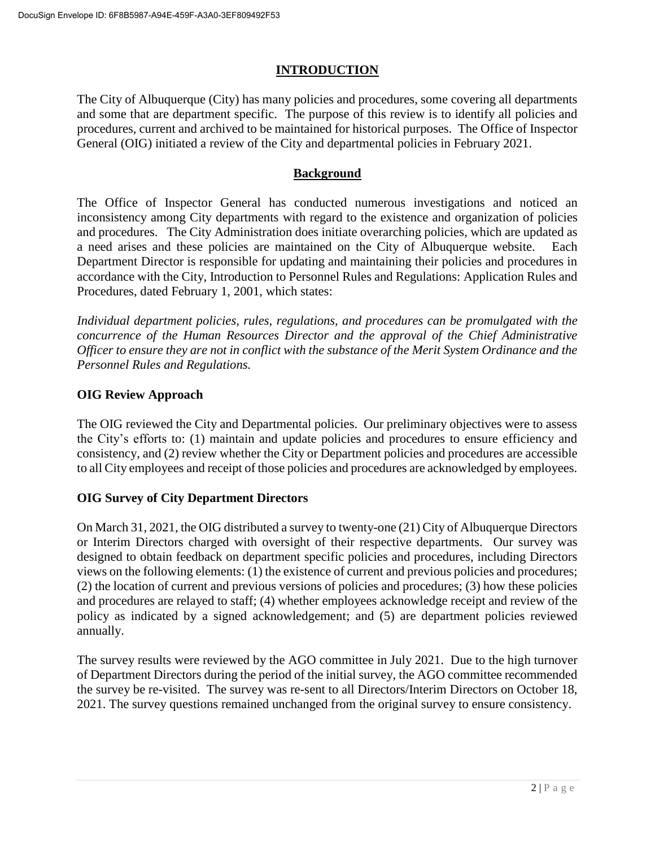## **INTRODUCTION**

The City of Albuquerque (City) has many policies and procedures, some covering all departments and some that are department specific. The purpose of this review is to identify all policies and procedures, current and archived to be maintained for historical purposes. The Office of Inspector General (OIG) initiated a review of the City and departmental policies in February 2021.

### **Background**

The Office of Inspector General has conducted numerous investigations and noticed an inconsistency among City departments with regard to the existence and organization of policies and procedures. The City Administration does initiate overarching policies, which are updated as a need arises and these policies are maintained on the City of Albuquerque website. Each Department Director is responsible for updating and maintaining their policies and procedures in accordance with the City, Introduction to Personnel Rules and Regulations: Application Rules and Procedures, dated February 1, 2001, which states:

*Individual department policies, rules, regulations, and procedures can be promulgated with the concurrence of the Human Resources Director and the approval of the Chief Administrative Officer to ensure they are not in conflict with the substance of the Merit System Ordinance and the Personnel Rules and Regulations.*

### **OIG Review Approach**

The OIG reviewed the City and Departmental policies. Our preliminary objectives were to assess the City's efforts to: (1) maintain and update policies and procedures to ensure efficiency and consistency, and (2) review whether the City or Department policies and procedures are accessible to all City employees and receipt of those policies and procedures are acknowledged by employees.

## **OIG Survey of City Department Directors**

On March 31, 2021, the OIG distributed a survey to twenty-one (21) City of Albuquerque Directors or Interim Directors charged with oversight of their respective departments. Our survey was designed to obtain feedback on department specific policies and procedures, including Directors views on the following elements: (1) the existence of current and previous policies and procedures; (2) the location of current and previous versions of policies and procedures; (3) how these policies and procedures are relayed to staff; (4) whether employees acknowledge receipt and review of the policy as indicated by a signed acknowledgement; and (5) are department policies reviewed annually.

The survey results were reviewed by the AGO committee in July 2021. Due to the high turnover of Department Directors during the period of the initial survey, the AGO committee recommended the survey be re-visited. The survey was re-sent to all Directors/Interim Directors on October 18, 2021. The survey questions remained unchanged from the original survey to ensure consistency.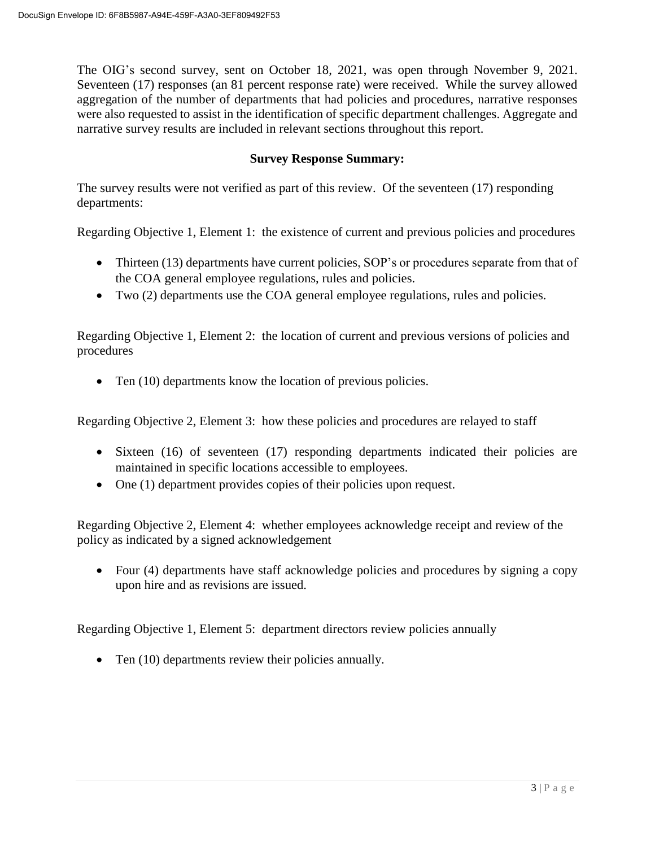The OIG's second survey, sent on October 18, 2021, was open through November 9, 2021. Seventeen (17) responses (an 81 percent response rate) were received. While the survey allowed aggregation of the number of departments that had policies and procedures, narrative responses were also requested to assist in the identification of specific department challenges. Aggregate and narrative survey results are included in relevant sections throughout this report.

### **Survey Response Summary:**

The survey results were not verified as part of this review. Of the seventeen (17) responding departments:

Regarding Objective 1, Element 1: the existence of current and previous policies and procedures

- Thirteen (13) departments have current policies, SOP's or procedures separate from that of the COA general employee regulations, rules and policies.
- Two (2) departments use the COA general employee regulations, rules and policies.

Regarding Objective 1, Element 2: the location of current and previous versions of policies and procedures

• Ten (10) departments know the location of previous policies.

Regarding Objective 2, Element 3: how these policies and procedures are relayed to staff

- Sixteen (16) of seventeen (17) responding departments indicated their policies are maintained in specific locations accessible to employees.
- One (1) department provides copies of their policies upon request.

Regarding Objective 2, Element 4: whether employees acknowledge receipt and review of the policy as indicated by a signed acknowledgement

• Four (4) departments have staff acknowledge policies and procedures by signing a copy upon hire and as revisions are issued.

Regarding Objective 1, Element 5: department directors review policies annually

• Ten (10) departments review their policies annually.